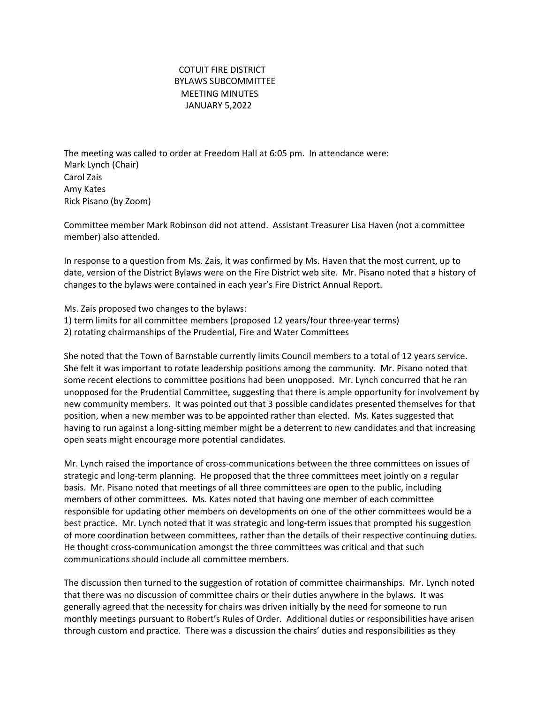## COTUIT FIRE DISTRICT BYLAWS SUBCOMMITTEE **MEETING MINUTES**  JANUARY 5,2022

The meeting was called to order at Freedom Hall at 6:05 pm. In attendance were: Mark Lynch (Chair) Carol Zais Amy Kates Rick Pisano (by Zoom)

Committee member Mark Robinson did not attend. Assistant Treasurer Lisa Haven (not a committee member) also attended.

In response to a question from Ms. Zais, it was confirmed by Ms. Haven that the most current, up to date, version of the District Bylaws were on the Fire District web site. Mr. Pisano noted that a history of changes to the bylaws were contained in each year's Fire District Annual Report.

Ms. Zais proposed two changes to the bylaws: 1) term limits for all committee members (proposed 12 years/four three-year terms) 2) rotating chairmanships of the Prudential, Fire and Water Committees

She noted that the Town of Barnstable currently limits Council members to a total of 12 years service. She felt it was important to rotate leadership positions among the community. Mr. Pisano noted that some recent elections to committee positions had been unopposed. Mr. Lynch concurred that he ran unopposed for the Prudential Committee, suggesting that there is ample opportunity for involvement by new community members. It was pointed out that 3 possible candidates presented themselves for that position, when a new member was to be appointed rather than elected. Ms. Kates suggested that having to run against a long-sitting member might be a deterrent to new candidates and that increasing open seats might encourage more potential candidates.

Mr. Lynch raised the importance of cross-communications between the three committees on issues of strategic and long-term planning. He proposed that the three committees meet jointly on a regular basis. Mr. Pisano noted that meetings of all three committees are open to the public, including members of other committees. Ms. Kates noted that having one member of each committee responsible for updating other members on developments on one of the other committees would be a best practice. Mr. Lynch noted that it was strategic and long-term issues that prompted his suggestion of more coordination between committees, rather than the details of their respective continuing duties. He thought cross-communication amongst the three committees was critical and that such communications should include all committee members.

The discussion then turned to the suggestion of rotation of committee chairmanships. Mr. Lynch noted that there was no discussion of committee chairs or their duties anywhere in the bylaws. It was generally agreed that the necessity for chairs was driven initially by the need for someone to run monthly meetings pursuant to Robert's Rules of Order. Additional duties or responsibilities have arisen through custom and practice. There was a discussion the chairs' duties and responsibilities as they